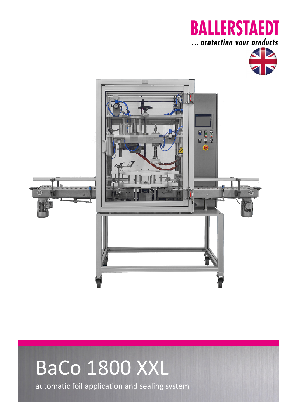## **BALLERSTAEDT** ... protectina vour products





# BaCo 1800 XXL automatic foil application and sealing system